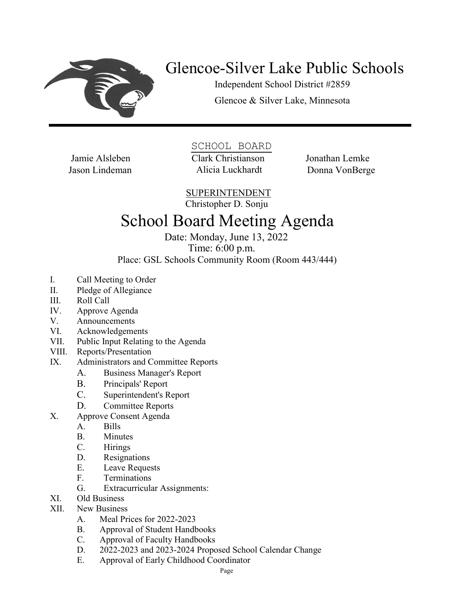

## Glencoe-Silver Lake Public Schools

Independent School District #2859 Glencoe & Silver Lake, Minnesota

Jason Lindeman Alicia Luckhardt

SCHOOL BOARD Jamie Alsleben Clark Christianson Jonathan Lemke

Donna VonBerge

SUPERINTENDENT

Christopher D. Sonju

## School Board Meeting Agenda

Date: Monday, June 13, 2022 Time: 6:00 p.m.

Place: GSL Schools Community Room (Room 443/444)

- I. Call Meeting to Order
- II. Pledge of Allegiance
- III. Roll Call
- IV. Approve Agenda
- V. Announcements
- VI. Acknowledgements
- VII. Public Input Relating to the Agenda
- VIII. Reports/Presentation
- IX. Administrators and Committee Reports
	- A. Business Manager's Report
	- B. Principals' Report
	- C. Superintendent's Report
	- D. Committee Reports
- X. Approve Consent Agenda
	- A. Bills
	- B. Minutes
	- C. Hirings
	- D. Resignations
	- E. Leave Requests
	- F. Terminations
	- G. Extracurricular Assignments:
- XI. Old Business
- XII. New Business
	- A. Meal Prices for 2022-2023
	- B. Approval of Student Handbooks
	- C. Approval of Faculty Handbooks
	- D. 2022-2023 and 2023-2024 Proposed School Calendar Change
	- E. Approval of Early Childhood Coordinator